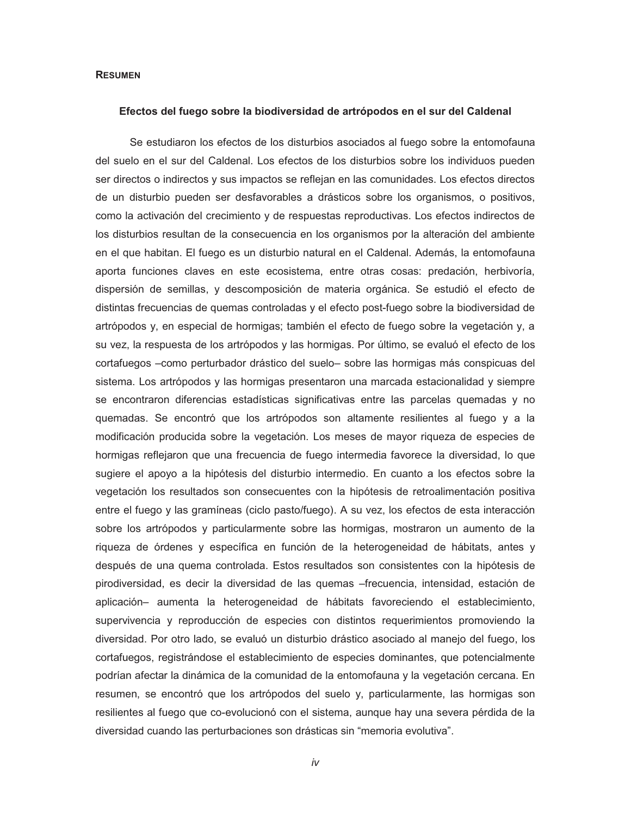# **RESUMEN**

#### **Efectos del fuego sobre la biodiversidad de artrópodos en el sur del Caldenal**

Se estudiaron los efectos de los disturbios asociados al fuego sobre la entomofauna del suelo en el sur del Caldenal. Los efectos de los disturbios sobre los individuos pueden ser directos o indirectos y sus impactos se reflejan en las comunidades. Los efectos directos de un disturbio pueden ser desfavorables a drásticos sobre los organismos, o positivos, como la activación del crecimiento y de respuestas reproductivas. Los efectos indirectos de los disturbios resultan de la consecuencia en los organismos por la alteración del ambiente en el que habitan. El fuego es un disturbio natural en el Caldenal. Además, la entomofauna aporta funciones claves en este ecosistema, entre otras cosas: predación, herbivoría, dispersión de semillas, y descomposición de materia orgánica. Se estudió el efecto de distintas frecuencias de quemas controladas y el efecto post-fuego sobre la biodiversidad de artrópodos y, en especial de hormigas; también el efecto de fuego sobre la vegetación y, a su vez, la respuesta de los artrópodos y las hormigas. Por último, se evaluó el efecto de los cortafuegos –como perturbador drástico del suelo– sobre las hormigas más conspicuas del sistema. Los artrópodos y las hormigas presentaron una marcada estacionalidad y siempre se encontraron diferencias estadísticas significativas entre las parcelas quemadas y no quemadas. Se encontró que los artrópodos son altamente resilientes al fuego y a la modificación producida sobre la vegetación. Los meses de mayor riqueza de especies de hormigas reflejaron que una frecuencia de fuego intermedia favorece la diversidad, lo que sugiere el apoyo a la hipótesis del disturbio intermedio. En cuanto a los efectos sobre la vegetación los resultados son consecuentes con la hipótesis de retroalimentación positiva entre el fuego y las gramíneas (ciclo pasto/fuego). A su vez, los efectos de esta interacción sobre los artrópodos y particularmente sobre las hormigas, mostraron un aumento de la riqueza de órdenes y específica en función de la heterogeneidad de hábitats, antes y después de una quema controlada. Estos resultados son consistentes con la hipótesis de pirodiversidad, es decir la diversidad de las quemas –frecuencia, intensidad, estación de aplicación– aumenta la heterogeneidad de hábitats favoreciendo el establecimiento, supervivencia y reproducción de especies con distintos requerimientos promoviendo la diversidad. Por otro lado, se evaluó un disturbio drástico asociado al manejo del fuego, los cortafuegos, registrándose el establecimiento de especies dominantes, que potencialmente podrían afectar la dinámica de la comunidad de la entomofauna y la vegetación cercana. En resumen, se encontró que los artrópodos del suelo y, particularmente, las hormigas son resilientes al fuego que co-evolucionó con el sistema, aunque hay una severa pérdida de la diversidad cuando las perturbaciones son drásticas sin "memoria evolutiva".

*iv*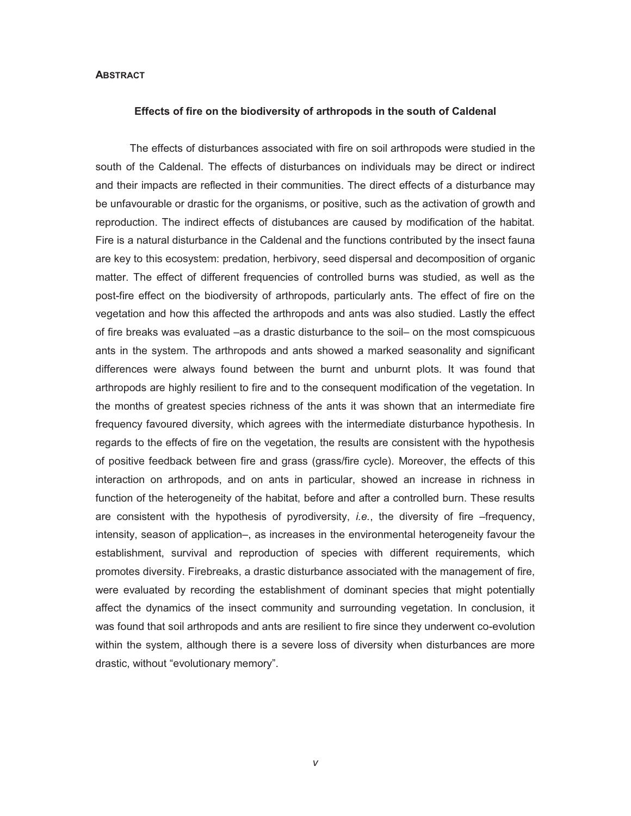# **ABSTRACT**

#### **Effects of fire on the biodiversity of arthropods in the south of Caldenal**

The effects of disturbances associated with fire on soil arthropods were studied in the south of the Caldenal. The effects of disturbances on individuals may be direct or indirect and their impacts are reflected in their communities. The direct effects of a disturbance may be unfavourable or drastic for the organisms, or positive, such as the activation of growth and reproduction. The indirect effects of distubances are caused by modification of the habitat. Fire is a natural disturbance in the Caldenal and the functions contributed by the insect fauna are key to this ecosystem: predation, herbivory, seed dispersal and decomposition of organic matter. The effect of different frequencies of controlled burns was studied, as well as the post-fire effect on the biodiversity of arthropods, particularly ants. The effect of fire on the vegetation and how this affected the arthropods and ants was also studied. Lastly the effect of fire breaks was evaluated –as a drastic disturbance to the soil– on the most comspicuous ants in the system. The arthropods and ants showed a marked seasonality and significant differences were always found between the burnt and unburnt plots. It was found that arthropods are highly resilient to fire and to the consequent modification of the vegetation. In the months of greatest species richness of the ants it was shown that an intermediate fire frequency favoured diversity, which agrees with the intermediate disturbance hypothesis. In regards to the effects of fire on the vegetation, the results are consistent with the hypothesis of positive feedback between fire and grass (grass/fire cycle). Moreover, the effects of this interaction on arthropods, and on ants in particular, showed an increase in richness in function of the heterogeneity of the habitat, before and after a controlled burn. These results are consistent with the hypothesis of pyrodiversity, *i.e.*, the diversity of fire –frequency, intensity, season of application–, as increases in the environmental heterogeneity favour the establishment, survival and reproduction of species with different requirements, which promotes diversity. Firebreaks, a drastic disturbance associated with the management of fire, were evaluated by recording the establishment of dominant species that might potentially affect the dynamics of the insect community and surrounding vegetation. In conclusion, it was found that soil arthropods and ants are resilient to fire since they underwent co-evolution within the system, although there is a severe loss of diversity when disturbances are more drastic, without "evolutionary memory".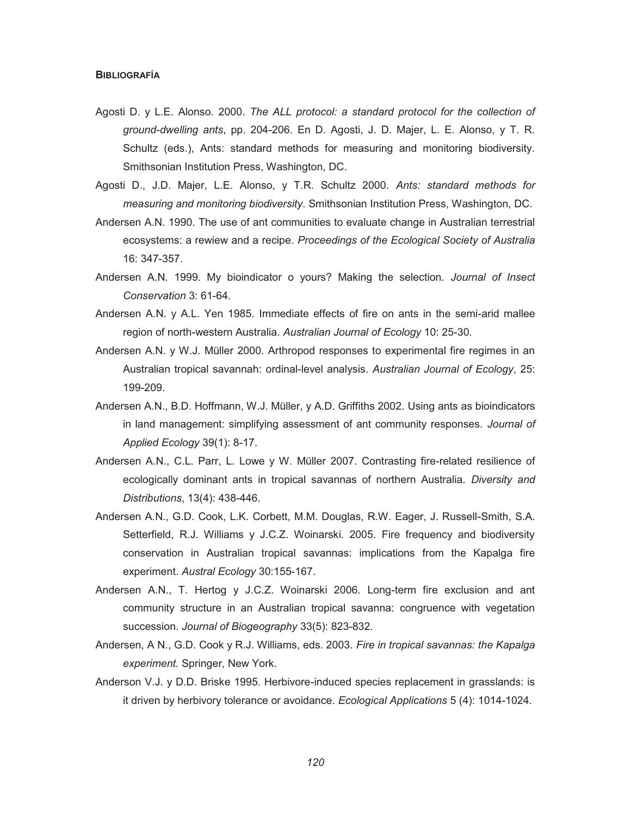### **BIBLIOGRAFÍA**

- Agosti D. y L.E. Alonso. 2000. *The ALL protocol: a standard protocol for the collection of ground-dwelling ants*, pp. 204-206. En D. Agosti, J. D. Majer, L. E. Alonso, y T. R. Schultz (eds.), Ants: standard methods for measuring and monitoring biodiversity. Smithsonian Institution Press, Washington, DC.
- Agosti D., J.D. Majer, L.E. Alonso, y T.R. Schultz 2000. *Ants: standard methods for measuring and monitoring biodiversity*. Smithsonian Institution Press, Washington, DC.
- Andersen A.N. 1990. The use of ant communities to evaluate change in Australian terrestrial ecosystems: a rewiew and a recipe. *Proceedings of the Ecological Society of Australia*  16: 347-357.
- Andersen A.N. 1999. My bioindicator o yours? Making the selection. *Journal of Insect Conservation* 3: 61-64.
- Andersen A.N. y A.L. Yen 1985. Immediate effects of fire on ants in the semi-arid mallee region of north-western Australia. *Australian Journal of Ecology* 10: 25-30.
- Andersen A.N. y W.J. Müller 2000. Arthropod responses to experimental fire regimes in an Australian tropical savannah: ordinal-level analysis. *Australian Journal of Ecology*, 25: 199-209.
- Andersen A.N., B.D. Hoffmann, W.J. Müller, y A.D. Griffiths 2002. Using ants as bioindicators in land management: simplifying assessment of ant community responses. *Journal of Applied Ecology* 39(1): 8-17.
- Andersen A.N., C.L. Parr, L. Lowe y W. Müller 2007. Contrasting fire-related resilience of ecologically dominant ants in tropical savannas of northern Australia. *Diversity and Distributions*, 13(4): 438-446.
- Andersen A.N., G.D. Cook, L.K. Corbett, M.M. Douglas, R.W. Eager, J. Russell-Smith, S.A. Setterfield, R.J. Williams y J.C.Z. Woinarski. 2005. Fire frequency and biodiversity conservation in Australian tropical savannas: implications from the Kapalga fire experiment. *Austral Ecology* 30:155-167.
- Andersen A.N., T. Hertog y J.C.Z. Woinarski 2006. Long-term fire exclusion and ant community structure in an Australian tropical savanna: congruence with vegetation succession. *Journal of Biogeography* 33(5): 823-832.
- Andersen, A N., G.D. Cook y R.J. Williams, eds. 2003. *Fire in tropical savannas: the Kapalga experiment.* Springer, New York.
- Anderson V.J. y D.D. Briske 1995. Herbivore-induced species replacement in grasslands: is it driven by herbivory tolerance or avoidance. *Ecological Applications* 5 (4): 1014-1024.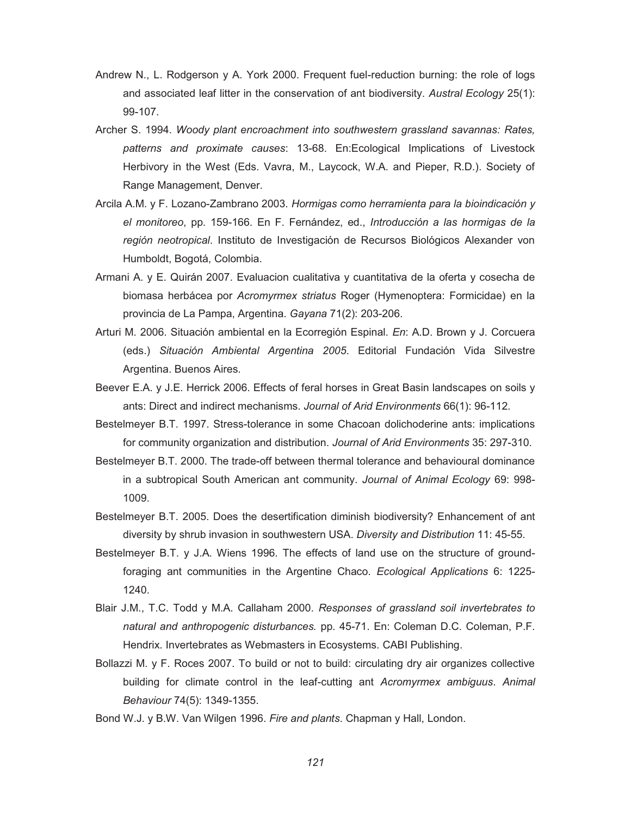- Andrew N., L. Rodgerson y A. York 2000. Frequent fuel-reduction burning: the role of logs and associated leaf litter in the conservation of ant biodiversity. *Austral Ecology* 25(1): 99-107.
- Archer S. 1994. *Woody plant encroachment into southwestern grassland savannas: Rates, patterns and proximate causes*: 13-68. En:Ecological Implications of Livestock Herbivory in the West (Eds. Vavra, M., Laycock, W.A. and Pieper, R.D.). Society of Range Management, Denver.
- Arcila A.M. y F. Lozano-Zambrano 2003. *Hormigas como herramienta para la bioindicación y el monitoreo*, pp. 159-166. En F. Fernández, ed., *Introducción a las hormigas de la región neotropical*. Instituto de Investigación de Recursos Biológicos Alexander von Humboldt, Bogotá, Colombia.
- Armani A. y E. Quirán 2007. Evaluacion cualitativa y cuantitativa de la oferta y cosecha de biomasa herbácea por *Acromyrmex striatus* Roger (Hymenoptera: Formicidae) en la provincia de La Pampa, Argentina. *Gayana* 71(2): 203-206.
- Arturi M. 2006. Situación ambiental en la Ecorregión Espinal. *En*: A.D. Brown y J. Corcuera (eds.) *Situación Ambiental Argentina 2005*. Editorial Fundación Vida Silvestre Argentina. Buenos Aires.
- Beever E.A. y J.E. Herrick 2006. Effects of feral horses in Great Basin landscapes on soils y ants: Direct and indirect mechanisms. *Journal of Arid Environments* 66(1): 96-112.
- Bestelmeyer B.T. 1997. Stress-tolerance in some Chacoan dolichoderine ants: implications for community organization and distribution. *Journal of Arid Environments* 35: 297-310.
- Bestelmeyer B.T. 2000. The trade-off between thermal tolerance and behavioural dominance in a subtropical South American ant community. *Journal of Animal Ecology* 69: 998- 1009.
- Bestelmeyer B.T. 2005. Does the desertification diminish biodiversity? Enhancement of ant diversity by shrub invasion in southwestern USA. *Diversity and Distribution* 11: 45-55.
- Bestelmeyer B.T. y J.A. Wiens 1996. The effects of land use on the structure of groundforaging ant communities in the Argentine Chaco. *Ecological Applications* 6: 1225- 1240.
- Blair J.M., T.C. Todd y M.A. Callaham 2000. *Responses of grassland soil invertebrates to natural and anthropogenic disturbances.* pp. 45-71. En: Coleman D.C. Coleman, P.F. Hendrix. Invertebrates as Webmasters in Ecosystems. CABI Publishing.
- Bollazzi M. y F. Roces 2007. To build or not to build: circulating dry air organizes collective building for climate control in the leaf-cutting ant *Acromyrmex ambiguus*. *Animal Behaviour* 74(5): 1349-1355.
- Bond W.J. y B.W. Van Wilgen 1996. *Fire and plants*. Chapman y Hall, London.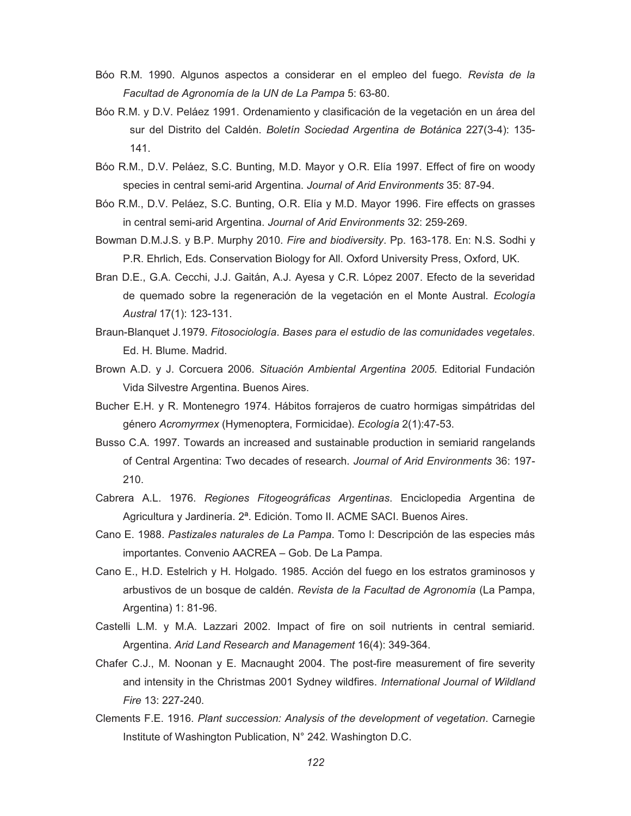- Bóo R.M. 1990. Algunos aspectos a considerar en el empleo del fuego. *Revista de la Facultad de Agronomía de la UN de La Pampa* 5: 63-80.
- Bóo R.M. y D.V. Peláez 1991. Ordenamiento y clasificación de la vegetación en un área del sur del Distrito del Caldén. *Boletín Sociedad Argentina de Botánica* 227(3-4): 135- 141.
- Bóo R.M., D.V. Peláez, S.C. Bunting, M.D. Mayor y O.R. Elía 1997. Effect of fire on woody species in central semi-arid Argentina. *Journal of Arid Environments* 35: 87-94.
- Bóo R.M., D.V. Peláez, S.C. Bunting, O.R. Elía y M.D. Mayor 1996. Fire effects on grasses in central semi-arid Argentina. *Journal of Arid Environments* 32: 259-269.
- Bowman D.M.J.S. y B.P. Murphy 2010. *Fire and biodiversity*. Pp. 163-178. En: N.S. Sodhi y P.R. Ehrlich, Eds. Conservation Biology for All. Oxford University Press, Oxford, UK.
- Bran D.E., G.A. Cecchi, J.J. Gaitán, A.J. Ayesa y C.R. López 2007. Efecto de la severidad de quemado sobre la regeneración de la vegetación en el Monte Austral. *Ecología Austral* 17(1): 123-131.
- Braun-Blanquet J.1979. *Fitosociología*. *Bases para el estudio de las comunidades vegetales*. Ed. H. Blume. Madrid.
- Brown A.D. y J. Corcuera 2006. *Situación Ambiental Argentina 2005*. Editorial Fundación Vida Silvestre Argentina. Buenos Aires.
- Bucher E.H. y R. Montenegro 1974. Hábitos forrajeros de cuatro hormigas simpátridas del género *Acromyrmex* (Hymenoptera, Formicidae). *Ecología* 2(1):47-53.
- Busso C.A. 1997. Towards an increased and sustainable production in semiarid rangelands of Central Argentina: Two decades of research. *Journal of Arid Environments* 36: 197- 210.
- Cabrera A.L. 1976. *Regiones Fitogeográficas Argentinas*. Enciclopedia Argentina de Agricultura y Jardinería. 2ª. Edición. Tomo II. ACME SACI. Buenos Aires.
- Cano E. 1988. *Pastizales naturales de La Pampa*. Tomo I: Descripción de las especies más importantes. Convenio AACREA – Gob. De La Pampa.
- Cano E., H.D. Estelrich y H. Holgado. 1985. Acción del fuego en los estratos graminosos y arbustivos de un bosque de caldén. *Revista de la Facultad de Agronomía* (La Pampa, Argentina) 1: 81-96.
- Castelli L.M. y M.A. Lazzari 2002. Impact of fire on soil nutrients in central semiarid. Argentina. *Arid Land Research and Management* 16(4): 349-364.
- Chafer C.J., M. Noonan y E. Macnaught 2004. The post-fire measurement of fire severity and intensity in the Christmas 2001 Sydney wildfires. *International Journal of Wildland Fire* 13: 227-240.
- Clements F.E. 1916. *Plant succession: Analysis of the development of vegetation*. Carnegie Institute of Washington Publication, N° 242. Washington D.C.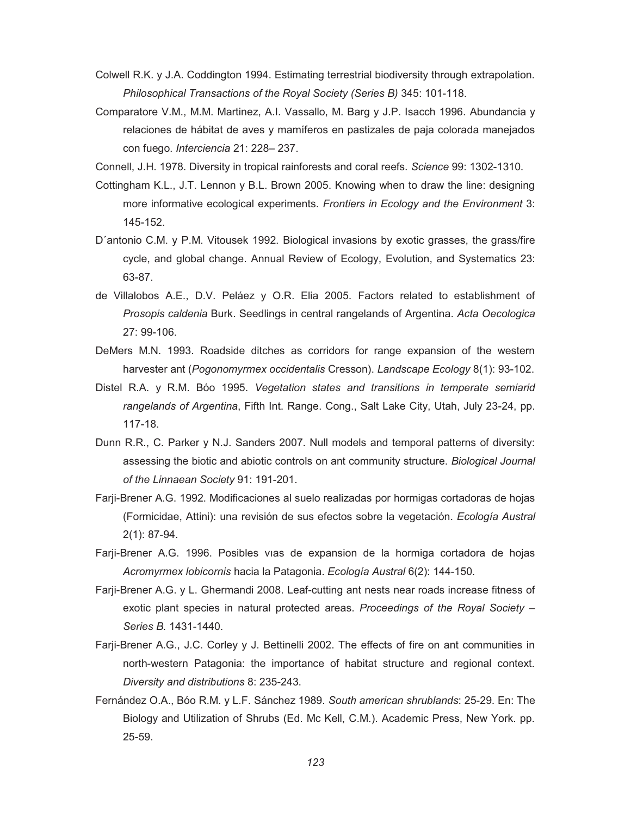- Colwell R.K. y J.A. Coddington 1994. Estimating terrestrial biodiversity through extrapolation. *Philosophical Transactions of the Royal Society (Series B)* 345: 101-118.
- Comparatore V.M., M.M. Martinez, A.I. Vassallo, M. Barg y J.P. Isacch 1996. Abundancia y relaciones de hábitat de aves y mamíferos en pastizales de paja colorada manejados con fuego. *Interciencia* 21: 228– 237.
- Connell, J.H. 1978. Diversity in tropical rainforests and coral reefs. *Science* 99: 1302-1310.
- Cottingham K.L., J.T. Lennon y B.L. Brown 2005. Knowing when to draw the line: designing more informative ecological experiments. *Frontiers in Ecology and the Environment* 3: 145-152.
- D´antonio C.M. y P.M. Vitousek 1992. Biological invasions by exotic grasses, the grass/fire cycle, and global change. Annual Review of Ecology, Evolution, and Systematics 23: 63-87.
- de Villalobos A.E., D.V. Peláez y O.R. Elia 2005. Factors related to establishment of *Prosopis caldenia* Burk. Seedlings in central rangelands of Argentina. *Acta Oecologica*  27: 99-106.
- DeMers M.N. 1993. Roadside ditches as corridors for range expansion of the western harvester ant (*Pogonomyrmex occidentalis* Cresson). *Landscape Ecology* 8(1): 93-102.
- Distel R.A. y R.M. Bóo 1995. *Vegetation states and transitions in temperate semiarid rangelands of Argentina*, Fifth Int. Range. Cong., Salt Lake City, Utah, July 23-24, pp. 117-18.
- Dunn R.R., C. Parker y N.J. Sanders 2007. Null models and temporal patterns of diversity: assessing the biotic and abiotic controls on ant community structure. *Biological Journal of the Linnaean Society* 91: 191-201.
- Farji-Brener A.G. 1992. Modificaciones al suelo realizadas por hormigas cortadoras de hojas (Formicidae, Attini): una revisión de sus efectos sobre la vegetación. *Ecología Austral*  2(1): 87-94.
- Farji-Brener A.G. 1996. Posibles vıas de expansion de la hormiga cortadora de hojas *Acromyrmex lobicornis* hacia la Patagonia. *Ecología Austral* 6(2): 144-150.
- Farji-Brener A.G. y L. Ghermandi 2008. Leaf-cutting ant nests near roads increase fitness of exotic plant species in natural protected areas. *Proceedings of the Royal Society – Series B.* 1431-1440.
- Farji-Brener A.G., J.C. Corley y J. Bettinelli 2002. The effects of fire on ant communities in north-western Patagonia: the importance of habitat structure and regional context. *Diversity and distributions* 8: 235-243.
- Fernández O.A., Bóo R.M. y L.F. Sánchez 1989. *South american shrublands*: 25-29. En: The Biology and Utilization of Shrubs (Ed. Mc Kell, C.M.). Academic Press, New York. pp. 25-59.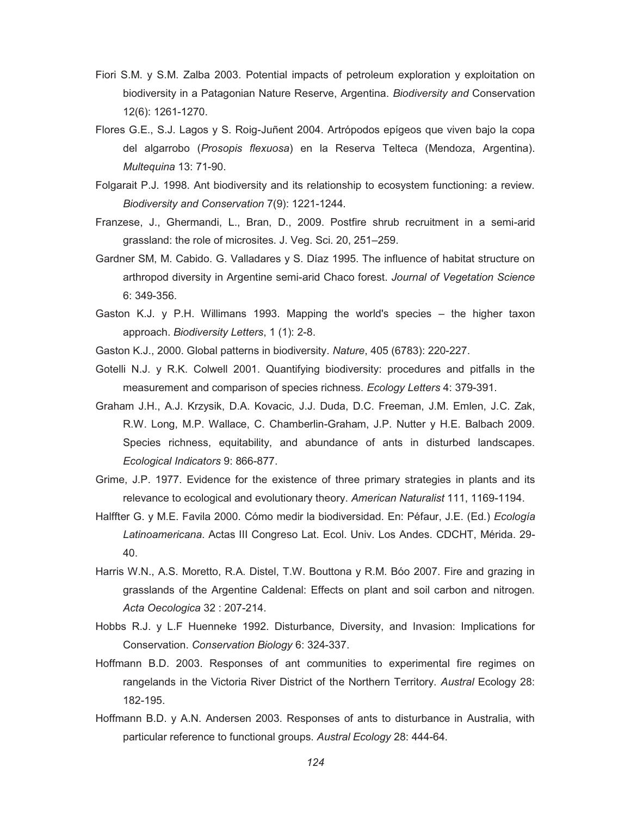- Fiori S.M. y S.M. Zalba 2003. Potential impacts of petroleum exploration y exploitation on biodiversity in a Patagonian Nature Reserve, Argentina. *Biodiversity and* Conservation 12(6): 1261-1270.
- Flores G.E., S.J. Lagos y S. Roig-Juñent 2004. Artrópodos epígeos que viven bajo la copa del algarrobo (*Prosopis flexuosa*) en la Reserva Telteca (Mendoza, Argentina). *Multequina* 13: 71-90.
- Folgarait P.J. 1998. Ant biodiversity and its relationship to ecosystem functioning: a review. *Biodiversity and Conservation* 7(9): 1221-1244.
- Franzese, J., Ghermandi, L., Bran, D., 2009. Postfire shrub recruitment in a semi-arid grassland: the role of microsites. J. Veg. Sci. 20, 251–259.
- Gardner SM, M. Cabido. G. Valladares y S. Díaz 1995. The influence of habitat structure on arthropod diversity in Argentine semi-arid Chaco forest. *Journal of Vegetation Science* 6: 349-356.
- Gaston K.J. y P.H. Willimans 1993. Mapping the world's species the higher taxon approach. *Biodiversity Letters*, 1 (1): 2-8.
- Gaston K.J., 2000. Global patterns in biodiversity. *Nature*, 405 (6783): 220-227.
- Gotelli N.J. y R.K. Colwell 2001. Quantifying biodiversity: procedures and pitfalls in the measurement and comparison of species richness. *Ecology Letters* 4: 379-391.
- Graham J.H., A.J. Krzysik, D.A. Kovacic, J.J. Duda, D.C. Freeman, J.M. Emlen, J.C. Zak, R.W. Long, M.P. Wallace, C. Chamberlin-Graham, J.P. Nutter y H.E. Balbach 2009. Species richness, equitability, and abundance of ants in disturbed landscapes. *Ecological Indicators* 9: 866-877.
- Grime, J.P. 1977. Evidence for the existence of three primary strategies in plants and its relevance to ecological and evolutionary theory. *American Naturalist* 111, 1169-1194.
- Halffter G. y M.E. Favila 2000. Cómo medir la biodiversidad. En: Péfaur, J.E. (Ed.) *Ecología Latinoamericana*. Actas III Congreso Lat. Ecol. Univ. Los Andes. CDCHT, Mérida. 29- 40.
- Harris W.N., A.S. Moretto, R.A. Distel, T.W. Bouttona y R.M. Bóo 2007. Fire and grazing in grasslands of the Argentine Caldenal: Effects on plant and soil carbon and nitrogen. *Acta Oecologica* 32 : 207-214.
- Hobbs R.J. y L.F Huenneke 1992. Disturbance, Diversity, and Invasion: Implications for Conservation. *Conservation Biology* 6: 324-337.
- Hoffmann B.D. 2003. Responses of ant communities to experimental fire regimes on rangelands in the Victoria River District of the Northern Territory. *Austral* Ecology 28: 182-195.
- Hoffmann B.D. y A.N. Andersen 2003. Responses of ants to disturbance in Australia, with particular reference to functional groups. *Austral Ecology* 28: 444-64.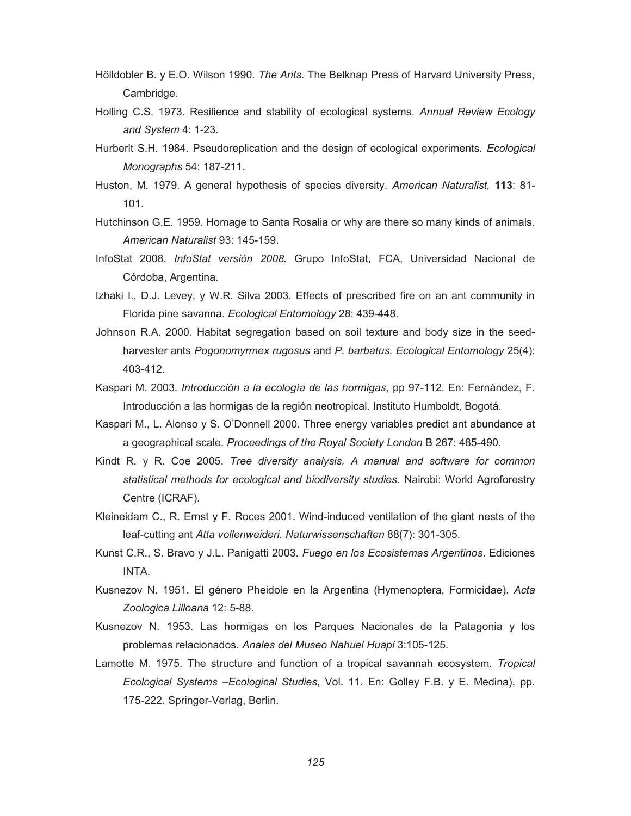- Hölldobler B. y E.O. Wilson 1990. *The Ants.* The Belknap Press of Harvard University Press, Cambridge.
- Holling C.S. 1973. Resilience and stability of ecological systems. *Annual Review Ecology and System* 4: 1-23.
- Hurberlt S.H. 1984. Pseudoreplication and the design of ecological experiments. *Ecological Monographs* 54: 187-211.
- Huston, M. 1979. A general hypothesis of species diversity. *American Naturalist,* **113**: 81- 101.
- Hutchinson G.E. 1959. Homage to Santa Rosalia or why are there so many kinds of animals. *American Naturalist* 93: 145-159.
- InfoStat 2008. *InfoStat versión 2008.* Grupo InfoStat, FCA, Universidad Nacional de Córdoba, Argentina.
- Izhaki I., D.J. Levey, y W.R. Silva 2003. Effects of prescribed fire on an ant community in Florida pine savanna. *Ecological Entomology* 28: 439-448.
- Johnson R.A. 2000. Habitat segregation based on soil texture and body size in the seedharvester ants *Pogonomyrmex rugosus* and *P. barbatus*. *Ecological Entomology* 25(4): 403-412.
- Kaspari M. 2003. *Introducción a la ecología de las hormigas*, pp 97-112. En: Fernández, F. Introducción a las hormigas de la región neotropical. Instituto Humboldt, Bogotá.
- Kaspari M., L. Alonso y S. O'Donnell 2000. Three energy variables predict ant abundance at a geographical scale. *Proceedings of the Royal Society London* B 267: 485-490.
- Kindt R. y R. Coe 2005. *Tree diversity analysis. A manual and software for common statistical methods for ecological and biodiversity studies.* Nairobi: World Agroforestry Centre (ICRAF).
- Kleineidam C., R. Ernst y F. Roces 2001. Wind-induced ventilation of the giant nests of the leaf-cutting ant *Atta vollenweideri. Naturwissenschaften* 88(7): 301-305.
- Kunst C.R., S. Bravo y J.L. Panigatti 2003. *Fuego en los Ecosistemas Argentinos*. Ediciones INTA.
- Kusnezov N. 1951. El género Pheidole en la Argentina (Hymenoptera, Formicidae). *Acta Zoologica Lilloana* 12: 5-88.
- Kusnezov N. 1953. Las hormigas en los Parques Nacionales de la Patagonia y los problemas relacionados. *Anales del Museo Nahuel Huapi* 3:105-125.
- Lamotte M. 1975. The structure and function of a tropical savannah ecosystem. *Tropical Ecological Systems –Ecological Studies,* Vol. 11. En: Golley F.B. y E. Medina), pp. 175-222. Springer-Verlag, Berlin.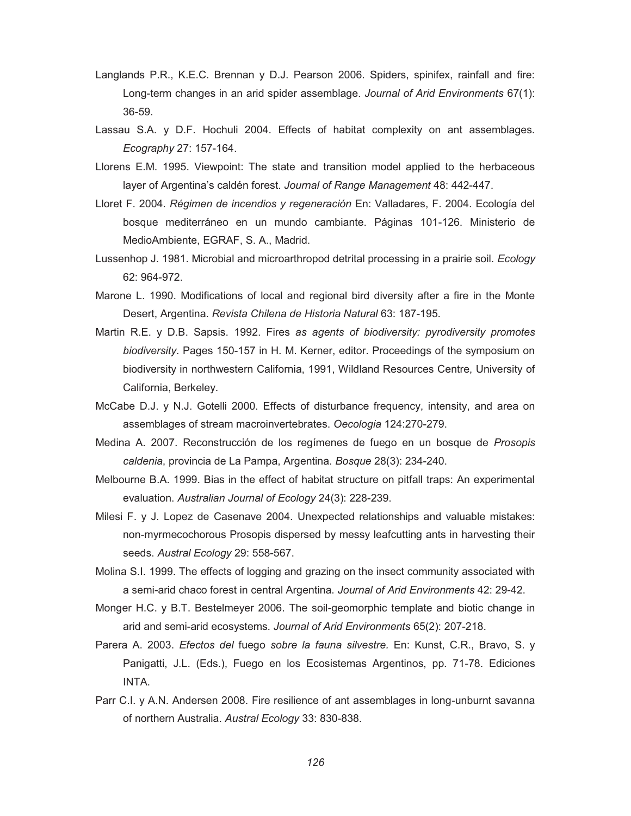- Langlands P.R., K.E.C. Brennan y D.J. Pearson 2006. Spiders, spinifex, rainfall and fire: Long-term changes in an arid spider assemblage. *Journal of Arid Environments* 67(1): 36-59.
- Lassau S.A. y D.F. Hochuli 2004. Effects of habitat complexity on ant assemblages. *Ecography* 27: 157-164.
- Llorens E.M. 1995. Viewpoint: The state and transition model applied to the herbaceous layer of Argentina's caldén forest. *Journal of Range Management* 48: 442-447.
- Lloret F. 2004. *Régimen de incendios y regeneración* En: Valladares, F. 2004. Ecología del bosque mediterráneo en un mundo cambiante. Páginas 101-126. Ministerio de MedioAmbiente, EGRAF, S. A., Madrid.
- Lussenhop J. 1981. Microbial and microarthropod detrital processing in a prairie soil. *Ecology* 62: 964-972.
- Marone L. 1990. Modifications of local and regional bird diversity after a fire in the Monte Desert, Argentina. *Revista Chilena de Historia Natural* 63: 187-195.
- Martin R.E. y D.B. Sapsis. 1992. Fires *as agents of biodiversity: pyrodiversity promotes biodiversity*. Pages 150-157 in H. M. Kerner, editor. Proceedings of the symposium on biodiversity in northwestern California, 1991, Wildland Resources Centre, University of California, Berkeley.
- McCabe D.J. y N.J. Gotelli 2000. Effects of disturbance frequency, intensity, and area on assemblages of stream macroinvertebrates. *Oecologia* 124:270-279.
- Medina A. 2007. Reconstrucción de los regímenes de fuego en un bosque de *Prosopis caldenia*, provincia de La Pampa, Argentina. *Bosque* 28(3): 234-240.
- Melbourne B.A. 1999. Bias in the effect of habitat structure on pitfall traps: An experimental evaluation. *Australian Journal of Ecology* 24(3): 228-239.
- Milesi F. y J. Lopez de Casenave 2004. Unexpected relationships and valuable mistakes: non-myrmecochorous Prosopis dispersed by messy leafcutting ants in harvesting their seeds. *Austral Ecology* 29: 558-567.
- Molina S.I. 1999. The effects of logging and grazing on the insect community associated with a semi-arid chaco forest in central Argentina. *Journal of Arid Environments* 42: 29-42.
- Monger H.C. y B.T. Bestelmeyer 2006. The soil-geomorphic template and biotic change in arid and semi-arid ecosystems*. Journal of Arid Environments* 65(2): 207-218.
- Parera A. 2003. *Efectos del* fuego *sobre la fauna silvestre.* En: Kunst, C.R., Bravo, S. y Panigatti, J.L. (Eds.), Fuego en los Ecosistemas Argentinos, pp. 71-78. Ediciones INTA.
- Parr C.I. y A.N. Andersen 2008. Fire resilience of ant assemblages in long-unburnt savanna of northern Australia. *Austral Ecology* 33: 830-838.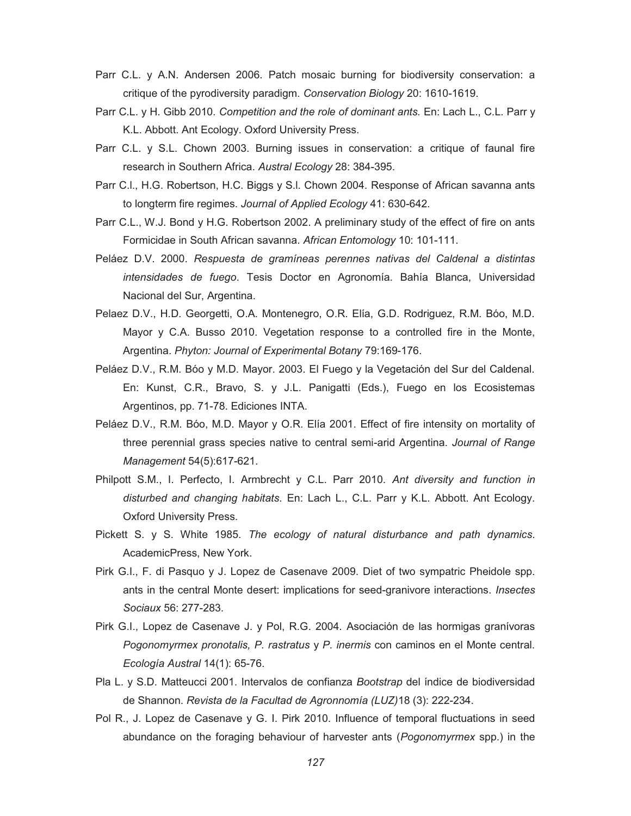- Parr C.L. y A.N. Andersen 2006. Patch mosaic burning for biodiversity conservation: a critique of the pyrodiversity paradigm. *Conservation Biology* 20: 1610-1619.
- Parr C.L. y H. Gibb 2010. *Competition and the role of dominant ants.* En: Lach L., C.L. Parr y K.L. Abbott. Ant Ecology. Oxford University Press.
- Parr C.L. y S.L. Chown 2003. Burning issues in conservation: a critique of faunal fire research in Southern Africa. *Austral Ecology* 28: 384-395.
- Parr C.l., H.G. Robertson, H.C. Biggs y S.l. Chown 2004. Response of African savanna ants to longterm fire regimes. *Journal of Applied Ecology* 41: 630-642.
- Parr C.L., W.J. Bond y H.G. Robertson 2002. A preliminary study of the effect of fire on ants Formicidae in South African savanna. *African Entomology* 10: 101-111.
- Peláez D.V. 2000. *Respuesta de gramíneas perennes nativas del Caldenal a distintas intensidades de fuego*. Tesis Doctor en Agronomía. Bahía Blanca, Universidad Nacional del Sur, Argentina.
- Pelaez D.V., H.D. Georgetti, O.A. Montenegro, O.R. Elía, G.D. Rodriguez, R.M. Bóo, M.D. Mayor y C.A. Busso 2010. Vegetation response to a controlled fire in the Monte, Argentina. *Phyton: Journal of Experimental Botany* 79:169-176.
- Peláez D.V., R.M. Bóo y M.D. Mayor. 2003. El Fuego y la Vegetación del Sur del Caldenal. En: Kunst, C.R., Bravo, S. y J.L. Panigatti (Eds.), Fuego en los Ecosistemas Argentinos, pp. 71-78. Ediciones INTA.
- Peláez D.V., R.M. Bóo, M.D. Mayor y O.R. Elía 2001. Effect of fire intensity on mortality of three perennial grass species native to central semi-arid Argentina. *Journal of Range Management* 54(5):617-621.
- Philpott S.M., I. Perfecto, I. Armbrecht y C.L. Parr 2010. *Ant diversity and function in disturbed and changing habitats.* En: Lach L., C.L. Parr y K.L. Abbott. Ant Ecology. Oxford University Press.
- Pickett S. y S. White 1985. *The ecology of natural disturbance and path dynamics*. AcademicPress, New York.
- Pirk G.I., F. di Pasquo y J. Lopez de Casenave 2009. Diet of two sympatric Pheidole spp. ants in the central Monte desert: implications for seed-granivore interactions. *Insectes Sociaux* 56: 277-283.
- Pirk G.I., Lopez de Casenave J. y Pol, R.G. 2004. Asociación de las hormigas granívoras *Pogonomyrmex pronotalis, P. rastratus* y *P. inermis* con caminos en el Monte central. *Ecología Austral* 14(1): 65-76.
- Pla L. y S.D. Matteucci 2001. Intervalos de confianza *Bootstrap* del índice de biodiversidad de Shannon. *Revista de la Facultad de Agronnomía (LUZ)*18 (3): 222-234.
- Pol R., J. Lopez de Casenave y G. I. Pirk 2010. Influence of temporal fluctuations in seed abundance on the foraging behaviour of harvester ants (*Pogonomyrmex* spp.) in the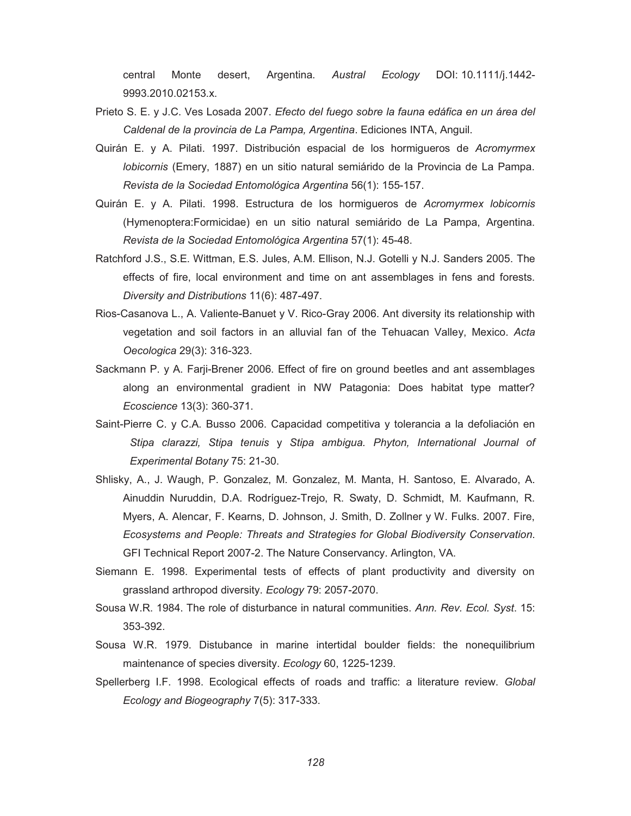central Monte desert, Argentina. *Austral Ecology* DOI: 10.1111/j.1442- 9993.2010.02153.x.

- Prieto S. E. y J.C. Ves Losada 2007. *Efecto del fuego sobre la fauna edáfica en un área del Caldenal de la provincia de La Pampa, Argentina*. Ediciones INTA, Anguil.
- Quirán E. y A. Pilati. 1997. Distribución espacial de los hormigueros de *Acromyrmex lobicornis* (Emery, 1887) en un sitio natural semiárido de la Provincia de La Pampa. *Revista de la Sociedad Entomológica Argentina* 56(1): 155-157.
- Quirán E. y A. Pilati. 1998. Estructura de los hormigueros de *Acromyrmex lobicornis* (Hymenoptera:Formicidae) en un sitio natural semiárido de La Pampa, Argentina. *Revista de la Sociedad Entomológica Argentina* 57(1): 45-48.
- Ratchford J.S., S.E. Wittman, E.S. Jules, A.M. Ellison, N.J. Gotelli y N.J. Sanders 2005. The effects of fire, local environment and time on ant assemblages in fens and forests. *Diversity and Distributions* 11(6): 487-497.
- Rios-Casanova L., A. Valiente-Banuet y V. Rico-Gray 2006. Ant diversity its relationship with vegetation and soil factors in an alluvial fan of the Tehuacan Valley, Mexico. *Acta Oecologica* 29(3): 316-323.
- Sackmann P. y A. Farji-Brener 2006. Effect of fire on ground beetles and ant assemblages along an environmental gradient in NW Patagonia: Does habitat type matter? *Ecoscience* 13(3): 360-371.
- Saint-Pierre C. y C.A. Busso 2006. Capacidad competitiva y tolerancia a la defoliación en *Stipa clarazzi, Stipa tenuis* y *Stipa ambigua. Phyton, International Journal of Experimental Botany* 75: 21-30.
- Shlisky, A., J. Waugh, P. Gonzalez, M. Gonzalez, M. Manta, H. Santoso, E. Alvarado, A. Ainuddin Nuruddin, D.A. Rodríguez-Trejo, R. Swaty, D. Schmidt, M. Kaufmann, R. Myers, A. Alencar, F. Kearns, D. Johnson, J. Smith, D. Zollner y W. Fulks. 2007. Fire, *Ecosystems and People: Threats and Strategies for Global Biodiversity Conservation*. GFI Technical Report 2007-2. The Nature Conservancy. Arlington, VA.
- Siemann E. 1998. Experimental tests of effects of plant productivity and diversity on grassland arthropod diversity. *Ecology* 79: 2057-2070.
- Sousa W.R. 1984. The role of disturbance in natural communities. *Ann. Rev. Ecol. Syst*. 15: 353-392.
- Sousa W.R. 1979. Distubance in marine intertidal boulder fields: the nonequilibrium maintenance of species diversity. *Ecology* 60, 1225-1239.
- Spellerberg I.F. 1998. Ecological effects of roads and traffic: a literature review. *Global Ecology and Biogeography* 7(5): 317-333.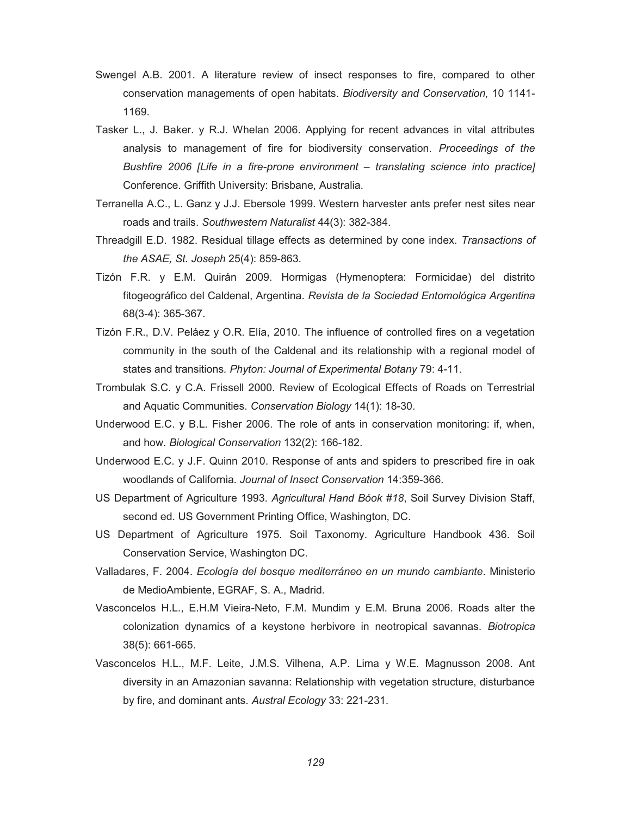- Swengel A.B. 2001. A literature review of insect responses to fire, compared to other conservation managements of open habitats. *Biodiversity and Conservation,* 10 1141- 1169.
- Tasker L., J. Baker. y R.J. Whelan 2006. Applying for recent advances in vital attributes analysis to management of fire for biodiversity conservation. *Proceedings of the Bushfire 2006 [Life in a fire-prone environment – translating science into practice]*  Conference. Griffith University: Brisbane, Australia.
- Terranella A.C., L. Ganz y J.J. Ebersole 1999. Western harvester ants prefer nest sites near roads and trails. *Southwestern Naturalist* 44(3): 382-384.
- Threadgill E.D. 1982. Residual tillage effects as determined by cone index. *Transactions of the ASAE, St. Joseph* 25(4): 859-863.
- Tizón F.R. y E.M. Quirán 2009. Hormigas (Hymenoptera: Formicidae) del distrito fitogeográfico del Caldenal, Argentina. *Revista de la Sociedad Entomológica Argentina*  68(3-4): 365-367.
- Tizón F.R., D.V. Peláez y O.R. Elía, 2010. The influence of controlled fires on a vegetation community in the south of the Caldenal and its relationship with a regional model of states and transitions*. Phyton: Journal of Experimental Botany* 79: 4-11.
- Trombulak S.C. y C.A. Frissell 2000. Review of Ecological Effects of Roads on Terrestrial and Aquatic Communities. *Conservation Biology* 14(1): 18-30.
- Underwood E.C. y B.L. Fisher 2006. The role of ants in conservation monitoring: if, when, and how. *Biological Conservation* 132(2): 166-182.
- Underwood E.C. y J.F. Quinn 2010. Response of ants and spiders to prescribed fire in oak woodlands of California. *Journal of Insect Conservation* 14:359-366.
- US Department of Agriculture 1993. *Agricultural Hand Bóok #18*, Soil Survey Division Staff, second ed. US Government Printing Office, Washington, DC.
- US Department of Agriculture 1975. Soil Taxonomy. Agriculture Handbook 436. Soil Conservation Service, Washington DC.
- Valladares, F. 2004. *Ecología del bosque mediterráneo en un mundo cambiante*. Ministerio de MedioAmbiente, EGRAF, S. A., Madrid.
- Vasconcelos H.L., E.H.M Vieira-Neto, F.M. Mundim y E.M. Bruna 2006. Roads alter the colonization dynamics of a keystone herbivore in neotropical savannas*. Biotropica*  38(5): 661-665.
- Vasconcelos H.L., M.F. Leite, J.M.S. Vilhena, A.P. Lima y W.E. Magnusson 2008. Ant diversity in an Amazonian savanna: Relationship with vegetation structure, disturbance by fire, and dominant ants. *Austral Ecology* 33: 221-231.